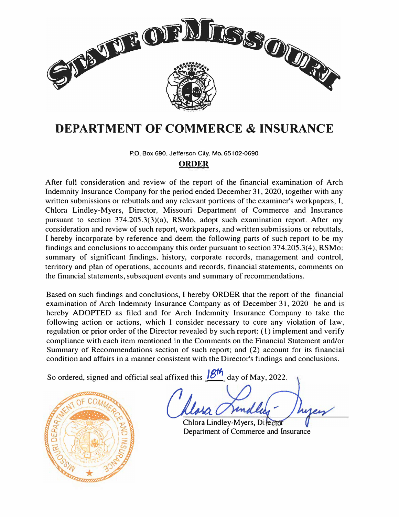

# **DEPARTMENT OF COMMERCE & INSURANCE**

P.O. Box 690, Jefferson City, Mo. 65102-0690

# **ORDER**

After full consideration and review of the report of the financial examination of Arch Indemnity Insurance Company for the period ended December 31, 2020, together with any written submissions or rebuttals and any relevant portions of the examiner's workpapers, I, Chlora Lindley-Myers, Director, Missouri Department of Commerce and Insurance pursuant to section 374.205.3(3)(a), RSMo, adopt such examination report. After my consideration and review of such report, workpapers, and written submissions or rebuttals, I hereby incorporate by reference and deem the following parts of such report to be my findings and conclusions to accompany this order pursuant to section 374.205.3(4), RSMo: summary of significant findings, history, corporate records, management and control, territory and plan of operations, accounts and records, financial statements, comments on the financial statements, subsequent events and summary of recommendations.

Based on such findings and conclusions, I hereby ORDER that the report of the financial examination of Arch Indemnity Insurance Company as of December 31, 2020 be and is hereby ADOPTED as filed and for Arch Indemnity Insurance Company to take the following action or actions, which I consider necessary to cure any violation of law, regulation or prior order of the Director revealed by such report: (I) implement and verify compliance with each item mentioned in the Comments on the Financial Statement and/or Summary of Recommendations section of such report; and (2) account for its financial condition and affairs in a manner consistent with the Director's findings and conclusions.

So ordered, signed and official seal affixed this **18th** day of May, 2022.



Chlora Lindley-Myers, Director Department of Commerce and Insurance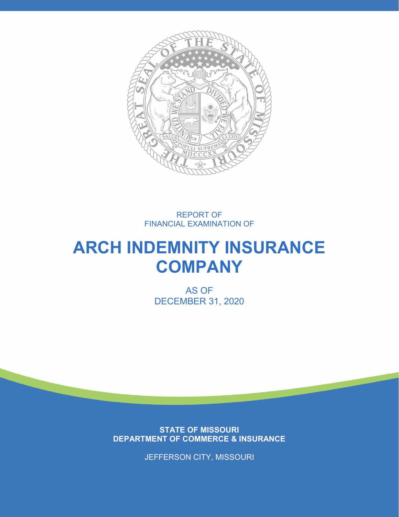

# REPORT OF FINANCIAL EXAMINATION OF

# **ARCH INDEMNITY INSURANCE COMPANY**

AS OF DECEMBER 31, 2020

**STATE OF MISSOURI DEPARTMENT OF COMMERCE & INSURANCE**

JEFFERSON CITY, MISSOURI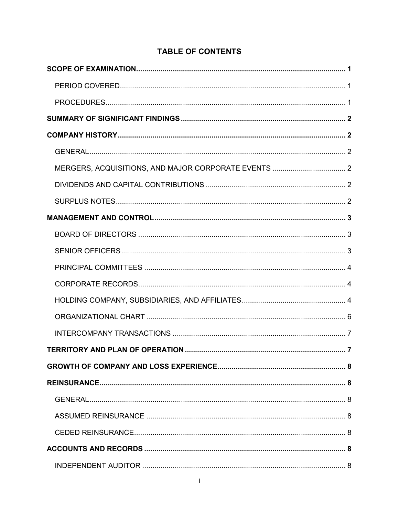# **TABLE OF CONTENTS**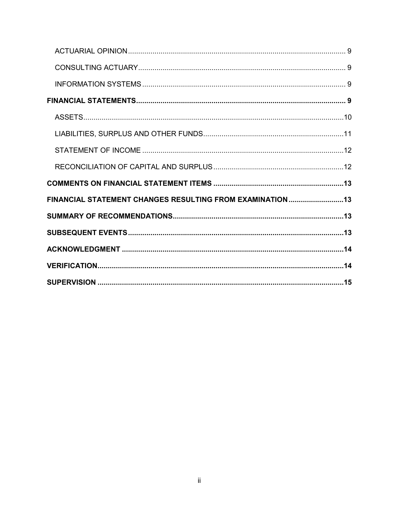| FINANCIAL STATEMENT CHANGES RESULTING FROM EXAMINATION 13 |  |
|-----------------------------------------------------------|--|
|                                                           |  |
|                                                           |  |
|                                                           |  |
|                                                           |  |
|                                                           |  |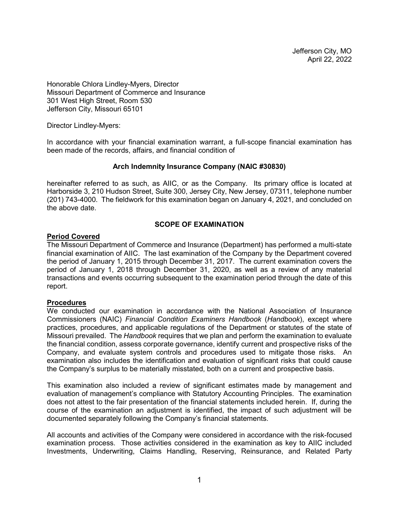Jefferson City, MO April 22, 2022

Honorable Chlora Lindley-Myers, Director Missouri Department of Commerce and Insurance 301 West High Street, Room 530 Jefferson City, Missouri 65101

Director Lindley-Myers:

In accordance with your financial examination warrant, a full-scope financial examination has been made of the records, affairs, and financial condition of

#### **Arch Indemnity Insurance Company (NAIC #30830)**

hereinafter referred to as such, as AIIC, or as the Company. Its primary office is located at Harborside 3, 210 Hudson Street, Suite 300, Jersey City, New Jersey, 07311, telephone number (201) 743-4000. The fieldwork for this examination began on January 4, 2021, and concluded on the above date.

#### **SCOPE OF EXAMINATION**

#### <span id="page-4-1"></span><span id="page-4-0"></span>**Period Covered**

The Missouri Department of Commerce and Insurance (Department) has performed a multi-state financial examination of AIIC. The last examination of the Company by the Department covered the period of January 1, 2015 through December 31, 2017. The current examination covers the period of January 1, 2018 through December 31, 2020, as well as a review of any material transactions and events occurring subsequent to the examination period through the date of this report.

#### <span id="page-4-2"></span>**Procedures**

We conducted our examination in accordance with the National Association of Insurance Commissioners (NAIC) *Financial Condition Examiners Handbook* (*Handbook*), except where practices, procedures, and applicable regulations of the Department or statutes of the state of Missouri prevailed. The *Handbook* requires that we plan and perform the examination to evaluate the financial condition, assess corporate governance, identify current and prospective risks of the Company, and evaluate system controls and procedures used to mitigate those risks. An examination also includes the identification and evaluation of significant risks that could cause the Company's surplus to be materially misstated, both on a current and prospective basis.

This examination also included a review of significant estimates made by management and evaluation of management's compliance with Statutory Accounting Principles. The examination does not attest to the fair presentation of the financial statements included herein. If, during the course of the examination an adjustment is identified, the impact of such adjustment will be documented separately following the Company's financial statements.

All accounts and activities of the Company were considered in accordance with the risk-focused examination process. Those activities considered in the examination as key to AIIC included Investments, Underwriting, Claims Handling, Reserving, Reinsurance, and Related Party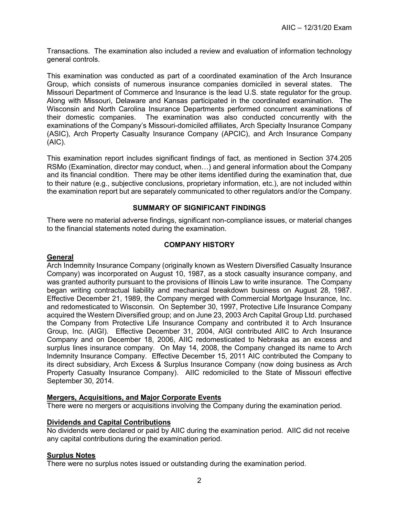Transactions. The examination also included a review and evaluation of information technology general controls.

This examination was conducted as part of a coordinated examination of the Arch Insurance Group, which consists of numerous insurance companies domiciled in several states. The Missouri Department of Commerce and Insurance is the lead U.S. state regulator for the group. Along with Missouri, Delaware and Kansas participated in the coordinated examination. The Wisconsin and North Carolina Insurance Departments performed concurrent examinations of their domestic companies. The examination was also conducted concurrently with the examinations of the Company's Missouri-domiciled affiliates, Arch Specialty Insurance Company (ASIC), Arch Property Casualty Insurance Company (APCIC), and Arch Insurance Company (AIC).

This examination report includes significant findings of fact, as mentioned in Section 374.205 RSMo (Examination, director may conduct, when…) and general information about the Company and its financial condition. There may be other items identified during the examination that, due to their nature (e.g., subjective conclusions, proprietary information, etc.), are not included within the examination report but are separately communicated to other regulators and/or the Company.

#### **SUMMARY OF SIGNIFICANT FINDINGS**

<span id="page-5-0"></span>There were no material adverse findings, significant non-compliance issues, or material changes to the financial statements noted during the examination.

#### **COMPANY HISTORY**

#### <span id="page-5-2"></span><span id="page-5-1"></span>**General**

Arch Indemnity Insurance Company (originally known as Western Diversified Casualty Insurance Company) was incorporated on August 10, 1987, as a stock casualty insurance company, and was granted authority pursuant to the provisions of Illinois Law to write insurance. The Company began writing contractual liability and mechanical breakdown business on August 28, 1987. Effective December 21, 1989, the Company merged with Commercial Mortgage Insurance, Inc. and redomesticated to Wisconsin. On September 30, 1997, Protective Life Insurance Company acquired the Western Diversified group; and on June 23, 2003 Arch Capital Group Ltd. purchased the Company from Protective Life Insurance Company and contributed it to Arch Insurance Group, Inc. (AIGI). Effective December 31, 2004, AIGI contributed AIIC to Arch Insurance Company and on December 18, 2006, AIIC redomesticated to Nebraska as an excess and surplus lines insurance company. On May 14, 2008, the Company changed its name to Arch Indemnity Insurance Company. Effective December 15, 2011 AIC contributed the Company to its direct subsidiary, Arch Excess & Surplus Insurance Company (now doing business as Arch Property Casualty Insurance Company). AIIC redomiciled to the State of Missouri effective September 30, 2014.

#### <span id="page-5-3"></span>**Mergers, Acquisitions, and Major Corporate Events**

There were no mergers or acquisitions involving the Company during the examination period.

#### <span id="page-5-4"></span>**Dividends and Capital Contributions**

No dividends were declared or paid by AIIC during the examination period. AIIC did not receive any capital contributions during the examination period.

#### <span id="page-5-5"></span>**Surplus Notes**

There were no surplus notes issued or outstanding during the examination period.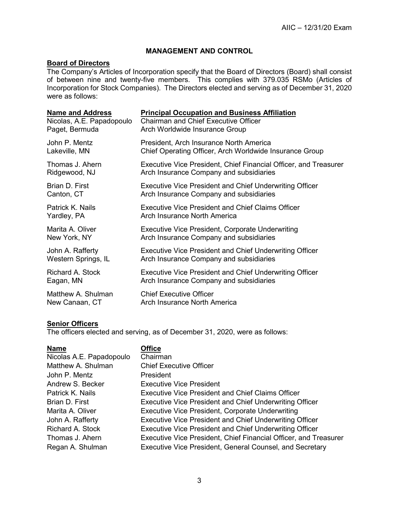### **MANAGEMENT AND CONTROL**

## <span id="page-6-1"></span><span id="page-6-0"></span>**Board of Directors**

The Company's Articles of Incorporation specify that the Board of Directors (Board) shall consist of between nine and twenty-five members. This complies with 379.035 RSMo (Articles of Incorporation for Stock Companies). The Directors elected and serving as of December 31, 2020 were as follows:

| <b>Name and Address</b>   | <b>Principal Occupation and Business Affiliation</b>             |
|---------------------------|------------------------------------------------------------------|
| Nicolas, A.E. Papadopoulo | <b>Chairman and Chief Executive Officer</b>                      |
| Paget, Bermuda            | Arch Worldwide Insurance Group                                   |
| John P. Mentz             | President, Arch Insurance North America                          |
| Lakeville, MN             | Chief Operating Officer, Arch Worldwide Insurance Group          |
| Thomas J. Ahern           | Executive Vice President, Chief Financial Officer, and Treasurer |
| Ridgewood, NJ             | Arch Insurance Company and subsidiaries                          |
| Brian D. First            | Executive Vice President and Chief Underwriting Officer          |
| Canton, CT                | Arch Insurance Company and subsidiaries                          |
| Patrick K. Nails          | <b>Executive Vice President and Chief Claims Officer</b>         |
| Yardley, PA               | Arch Insurance North America                                     |
| Marita A. Oliver          | Executive Vice President, Corporate Underwriting                 |
| New York, NY              | Arch Insurance Company and subsidiaries                          |
| John A. Rafferty          | <b>Executive Vice President and Chief Underwriting Officer</b>   |
| Western Springs, IL       | Arch Insurance Company and subsidiaries                          |
| Richard A. Stock          | <b>Executive Vice President and Chief Underwriting Officer</b>   |
| Eagan, MN                 | Arch Insurance Company and subsidiaries                          |
| Matthew A. Shulman        | <b>Chief Executive Officer</b>                                   |
| New Canaan, CT            | Arch Insurance North America                                     |

# <span id="page-6-2"></span>**Senior Officers**

The officers elected and serving, as of December 31, 2020, were as follows:

#### **Office**

| Nicolas A.E. Papadopoulo | Chairman                                                         |
|--------------------------|------------------------------------------------------------------|
| Matthew A. Shulman       | <b>Chief Executive Officer</b>                                   |
| John P. Mentz            | President                                                        |
| Andrew S. Becker         | <b>Executive Vice President</b>                                  |
| Patrick K. Nails         | <b>Executive Vice President and Chief Claims Officer</b>         |
| Brian D. First           | <b>Executive Vice President and Chief Underwriting Officer</b>   |
| Marita A. Oliver         | <b>Executive Vice President, Corporate Underwriting</b>          |
| John A. Rafferty         | Executive Vice President and Chief Underwriting Officer          |
| <b>Richard A. Stock</b>  | Executive Vice President and Chief Underwriting Officer          |
| Thomas J. Ahern          | Executive Vice President, Chief Financial Officer, and Treasurer |
| Regan A. Shulman         | Executive Vice President, General Counsel, and Secretary         |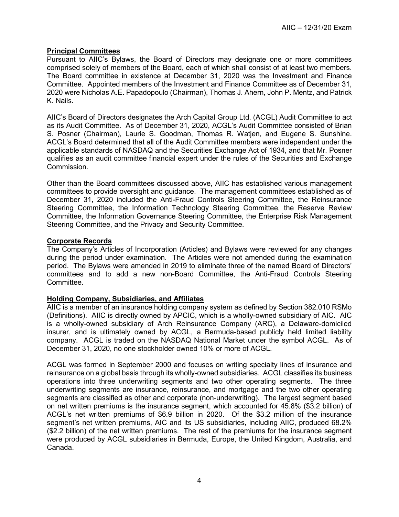#### <span id="page-7-0"></span>**Principal Committees**

Pursuant to AIIC's Bylaws, the Board of Directors may designate one or more committees comprised solely of members of the Board, each of which shall consist of at least two members. The Board committee in existence at December 31, 2020 was the Investment and Finance Committee. Appointed members of the Investment and Finance Committee as of December 31, 2020 were Nicholas A.E. Papadopoulo (Chairman), Thomas J. Ahern, John P. Mentz, and Patrick K. Nails.

AIIC's Board of Directors designates the Arch Capital Group Ltd. (ACGL) Audit Committee to act as its Audit Committee. As of December 31, 2020, ACGL's Audit Committee consisted of Brian S. Posner (Chairman), Laurie S. Goodman, Thomas R. Watjen, and Eugene S. Sunshine. ACGL's Board determined that all of the Audit Committee members were independent under the applicable standards of NASDAQ and the Securities Exchange Act of 1934, and that Mr. Posner qualifies as an audit committee financial expert under the rules of the Securities and Exchange Commission.

Other than the Board committees discussed above, AIIC has established various management committees to provide oversight and guidance. The management committees established as of December 31, 2020 included the Anti-Fraud Controls Steering Committee, the Reinsurance Steering Committee, the Information Technology Steering Committee, the Reserve Review Committee, the Information Governance Steering Committee, the Enterprise Risk Management Steering Committee, and the Privacy and Security Committee.

#### <span id="page-7-1"></span>**Corporate Records**

The Company's Articles of Incorporation (Articles) and Bylaws were reviewed for any changes during the period under examination. The Articles were not amended during the examination period. The Bylaws were amended in 2019 to eliminate three of the named Board of Directors' committees and to add a new non-Board Committee, the Anti-Fraud Controls Steering Committee.

#### <span id="page-7-2"></span>**Holding Company, Subsidiaries, and Affiliates**

AIIC is a member of an insurance holding company system as defined by Section 382.010 RSMo (Definitions). AIIC is directly owned by APCIC, which is a wholly-owned subsidiary of AIC. AIC is a wholly-owned subsidiary of Arch Reinsurance Company (ARC), a Delaware-domiciled insurer, and is ultimately owned by ACGL, a Bermuda-based publicly held limited liability company. ACGL is traded on the NASDAQ National Market under the symbol ACGL. As of December 31, 2020, no one stockholder owned 10% or more of ACGL.

ACGL was formed in September 2000 and focuses on writing specialty lines of insurance and reinsurance on a global basis through its wholly-owned subsidiaries. ACGL classifies its business operations into three underwriting segments and two other operating segments. The three underwriting segments are insurance, reinsurance, and mortgage and the two other operating segments are classified as other and corporate (non-underwriting). The largest segment based on net written premiums is the insurance segment, which accounted for 45.8% (\$3.2 billion) of ACGL's net written premiums of \$6.9 billion in 2020. Of the \$3.2 million of the insurance segment's net written premiums, AIC and its US subsidiaries, including AIIC, produced 68.2% (\$2.2 billion) of the net written premiums. The rest of the premiums for the insurance segment were produced by ACGL subsidiaries in Bermuda, Europe, the United Kingdom, Australia, and Canada.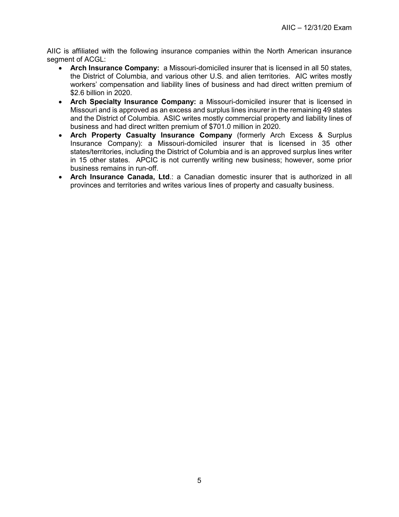AIIC is affiliated with the following insurance companies within the North American insurance segment of ACGL:

- **Arch Insurance Company:** a Missouri-domiciled insurer that is licensed in all 50 states, the District of Columbia, and various other U.S. and alien territories. AIC writes mostly workers' compensation and liability lines of business and had direct written premium of \$2.6 billion in 2020.
- **Arch Specialty Insurance Company:** a Missouri-domiciled insurer that is licensed in Missouri and is approved as an excess and surplus lines insurer in the remaining 49 states and the District of Columbia. ASIC writes mostly commercial property and liability lines of business and had direct written premium of \$701.0 million in 2020.
- **Arch Property Casualty Insurance Company** (formerly Arch Excess & Surplus Insurance Company): a Missouri-domiciled insurer that is licensed in 35 other states/territories, including the District of Columbia and is an approved surplus lines writer in 15 other states. APCIC is not currently writing new business; however, some prior business remains in run-off.
- **Arch Insurance Canada, Ltd**.: a Canadian domestic insurer that is authorized in all provinces and territories and writes various lines of property and casualty business.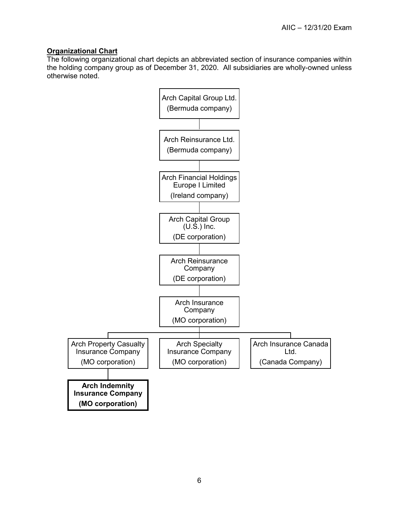# <span id="page-9-0"></span>**Organizational Chart**

The following organizational chart depicts an abbreviated section of insurance companies within the holding company group as of December 31, 2020. All subsidiaries are wholly-owned unless otherwise noted.

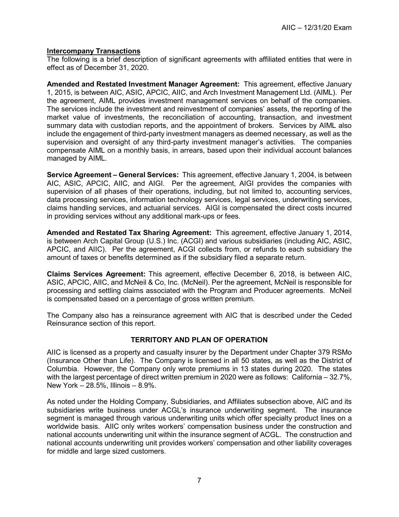#### <span id="page-10-0"></span>**Intercompany Transactions**

The following is a brief description of significant agreements with affiliated entities that were in effect as of December 31, 2020.

**Amended and Restated Investment Manager Agreement:** This agreement, effective January 1, 2015, is between AIC, ASIC, APCIC, AIIC, and Arch Investment Management Ltd. (AIML). Per the agreement, AIML provides investment management services on behalf of the companies. The services include the investment and reinvestment of companies' assets, the reporting of the market value of investments, the reconciliation of accounting, transaction, and investment summary data with custodian reports, and the appointment of brokers. Services by AIML also include the engagement of third-party investment managers as deemed necessary, as well as the supervision and oversight of any third-party investment manager's activities. The companies compensate AIML on a monthly basis, in arrears, based upon their individual account balances managed by AIML.

**Service Agreement – General Services:** This agreement, effective January 1, 2004, is between AIC, ASIC, APCIC, AIIC, and AIGI. Per the agreement, AIGI provides the companies with supervision of all phases of their operations, including, but not limited to, accounting services, data processing services, information technology services, legal services, underwriting services, claims handling services, and actuarial services. AIGI is compensated the direct costs incurred in providing services without any additional mark-ups or fees.

**Amended and Restated Tax Sharing Agreement:** This agreement, effective January 1, 2014, is between Arch Capital Group (U.S.) Inc. (ACGI) and various subsidiaries (including AIC, ASIC, APCIC, and AIIC). Per the agreement, ACGI collects from, or refunds to each subsidiary the amount of taxes or benefits determined as if the subsidiary filed a separate return.

**Claims Services Agreement:** This agreement, effective December 6, 2018, is between AIC, ASIC, APCIC, AIIC, and McNeil & Co, Inc. (McNeil). Per the agreement, McNeil is responsible for processing and settling claims associated with the Program and Producer agreements. McNeil is compensated based on a percentage of gross written premium.

The Company also has a reinsurance agreement with AIC that is described under the Ceded Reinsurance section of this report.

#### **TERRITORY AND PLAN OF OPERATION**

<span id="page-10-1"></span>AIIC is licensed as a property and casualty insurer by the Department under Chapter 379 RSMo (Insurance Other than Life). The Company is licensed in all 50 states, as well as the District of Columbia. However, the Company only wrote premiums in 13 states during 2020. The states with the largest percentage of direct written premium in 2020 were as follows: California – 32.7%, New York – 28.5%, Illinois – 8.9%.

As noted under the Holding Company, Subsidiaries, and Affiliates subsection above, AIC and its subsidiaries write business under ACGL's insurance underwriting segment. The insurance segment is managed through various underwriting units which offer specialty product lines on a worldwide basis. AIIC only writes workers' compensation business under the construction and national accounts underwriting unit within the insurance segment of ACGL. The construction and national accounts underwriting unit provides workers' compensation and other liability coverages for middle and large sized customers.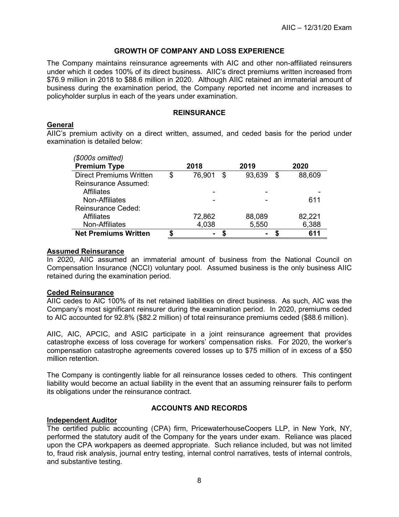#### **GROWTH OF COMPANY AND LOSS EXPERIENCE**

<span id="page-11-0"></span>The Company maintains reinsurance agreements with AIC and other non-affiliated reinsurers under which it cedes 100% of its direct business. AIIC's direct premiums written increased from \$76.9 million in 2018 to \$88.6 million in 2020. Although AIIC retained an immaterial amount of business during the examination period, the Company reported net income and increases to policyholder surplus in each of the years under examination.

#### **REINSURANCE**

#### <span id="page-11-2"></span><span id="page-11-1"></span>**General**

AIIC's premium activity on a direct written, assumed, and ceded basis for the period under examination is detailed below:

| (\$000s omitted)               |              |                |              |
|--------------------------------|--------------|----------------|--------------|
| <b>Premium Type</b>            | 2018         | 2019           | 2020         |
| <b>Direct Premiums Written</b> | \$<br>76,901 | \$<br>93,639   | \$<br>88,609 |
| Reinsurance Assumed:           |              |                |              |
| <b>Affiliates</b>              |              |                |              |
| Non-Affiliates                 |              | -              | 611          |
| <b>Reinsurance Ceded:</b>      |              |                |              |
| Affiliates                     | 72,862       | 88,089         | 82,221       |
| Non-Affiliates                 | 4,038        | 5,550          | 6,388        |
| <b>Net Premiums Written</b>    |              | $\blacksquare$ | 611          |

#### <span id="page-11-3"></span>**Assumed Reinsurance**

In 2020, AIIC assumed an immaterial amount of business from the National Council on Compensation Insurance (NCCI) voluntary pool. Assumed business is the only business AIIC retained during the examination period.

#### <span id="page-11-4"></span>**Ceded Reinsurance**

AIIC cedes to AIC 100% of its net retained liabilities on direct business. As such, AIC was the Company's most significant reinsurer during the examination period. In 2020, premiums ceded to AIC accounted for 92.8% (\$82.2 million) of total reinsurance premiums ceded (\$88.6 million).

AIIC, AIC, APCIC, and ASIC participate in a joint reinsurance agreement that provides catastrophe excess of loss coverage for workers' compensation risks. For 2020, the worker's compensation catastrophe agreements covered losses up to \$75 million of in excess of a \$50 million retention.

The Company is contingently liable for all reinsurance losses ceded to others. This contingent liability would become an actual liability in the event that an assuming reinsurer fails to perform its obligations under the reinsurance contract.

#### **ACCOUNTS AND RECORDS**

#### <span id="page-11-6"></span><span id="page-11-5"></span>**Independent Auditor**

The certified public accounting (CPA) firm, PricewaterhouseCoopers LLP, in New York, NY, performed the statutory audit of the Company for the years under exam. Reliance was placed upon the CPA workpapers as deemed appropriate. Such reliance included, but was not limited to, fraud risk analysis, journal entry testing, internal control narratives, tests of internal controls, and substantive testing.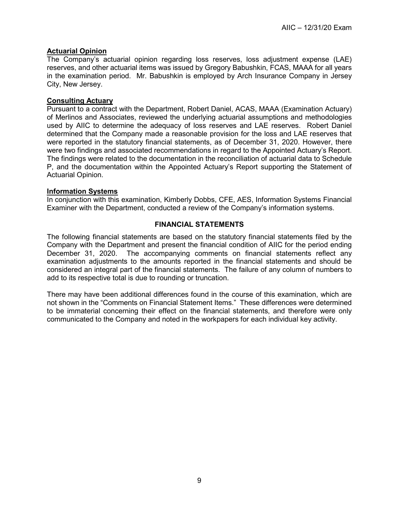#### <span id="page-12-0"></span>**Actuarial Opinion**

The Company's actuarial opinion regarding loss reserves, loss adjustment expense (LAE) reserves, and other actuarial items was issued by Gregory Babushkin, FCAS, MAAA for all years in the examination period. Mr. Babushkin is employed by Arch Insurance Company in Jersey City, New Jersey.

#### <span id="page-12-1"></span>**Consulting Actuary**

Pursuant to a contract with the Department, Robert Daniel, ACAS, MAAA (Examination Actuary) of Merlinos and Associates, reviewed the underlying actuarial assumptions and methodologies used by AIIC to determine the adequacy of loss reserves and LAE reserves. Robert Daniel determined that the Company made a reasonable provision for the loss and LAE reserves that were reported in the statutory financial statements, as of December 31, 2020. However, there were two findings and associated recommendations in regard to the Appointed Actuary's Report. The findings were related to the documentation in the reconciliation of actuarial data to Schedule P, and the documentation within the Appointed Actuary's Report supporting the Statement of Actuarial Opinion.

#### <span id="page-12-2"></span>**Information Systems**

In conjunction with this examination, Kimberly Dobbs, CFE, AES, Information Systems Financial Examiner with the Department, conducted a review of the Company's information systems.

#### **FINANCIAL STATEMENTS**

<span id="page-12-3"></span>The following financial statements are based on the statutory financial statements filed by the Company with the Department and present the financial condition of AIIC for the period ending December 31, 2020. The accompanying comments on financial statements reflect any examination adjustments to the amounts reported in the financial statements and should be considered an integral part of the financial statements. The failure of any column of numbers to add to its respective total is due to rounding or truncation.

There may have been additional differences found in the course of this examination, which are not shown in the "Comments on Financial Statement Items." These differences were determined to be immaterial concerning their effect on the financial statements, and therefore were only communicated to the Company and noted in the workpapers for each individual key activity.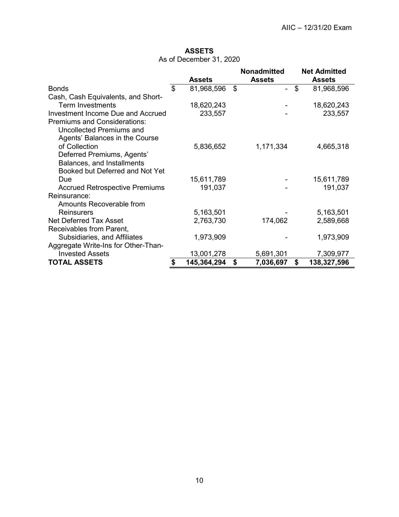# **ASSETS**

As of December 31, 2020

<span id="page-13-0"></span>

|                                          | <b>Assets</b>    | <b>Nonadmitted</b><br><b>Assets</b> | <b>Net Admitted</b><br><b>Assets</b> |
|------------------------------------------|------------------|-------------------------------------|--------------------------------------|
| <b>Bonds</b>                             | \$<br>81,968,596 | \$                                  | \$<br>81,968,596                     |
| Cash, Cash Equivalents, and Short-       |                  |                                     |                                      |
| <b>Term Investments</b>                  | 18,620,243       |                                     | 18,620,243                           |
| <b>Investment Income Due and Accrued</b> | 233,557          |                                     | 233,557                              |
| <b>Premiums and Considerations:</b>      |                  |                                     |                                      |
| Uncollected Premiums and                 |                  |                                     |                                      |
| Agents' Balances in the Course           |                  |                                     |                                      |
| of Collection                            | 5,836,652        | 1,171,334                           | 4,665,318                            |
| Deferred Premiums, Agents'               |                  |                                     |                                      |
| Balances, and Installments               |                  |                                     |                                      |
| Booked but Deferred and Not Yet          |                  |                                     |                                      |
| Due                                      | 15,611,789       |                                     | 15,611,789                           |
| <b>Accrued Retrospective Premiums</b>    | 191,037          |                                     | 191,037                              |
| Reinsurance:                             |                  |                                     |                                      |
| Amounts Recoverable from                 |                  |                                     |                                      |
| Reinsurers                               | 5,163,501        |                                     | 5,163,501                            |
| <b>Net Deferred Tax Asset</b>            | 2,763,730        | 174,062                             | 2,589,668                            |
| Receivables from Parent,                 |                  |                                     |                                      |
| Subsidiaries, and Affiliates             | 1,973,909        |                                     | 1,973,909                            |
| Aggregate Write-Ins for Other-Than-      |                  |                                     |                                      |
| <b>Invested Assets</b>                   | 13,001,278       | 5,691,301                           | 7,309,977                            |
| <b>TOTAL ASSETS</b>                      | 145,364,294      | \$<br>7,036,697                     | \$<br>138,327,596                    |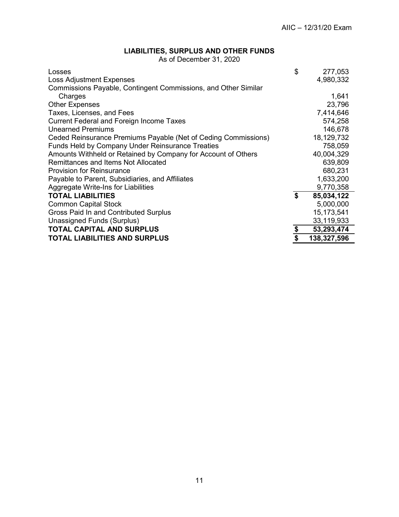#### **LIABILITIES, SURPLUS AND OTHER FUNDS**

As of December 31, 2020

<span id="page-14-0"></span>

| Losses                                                         | \$            | 277,053      |
|----------------------------------------------------------------|---------------|--------------|
| <b>Loss Adjustment Expenses</b>                                |               | 4,980,332    |
| Commissions Payable, Contingent Commissions, and Other Similar |               |              |
| Charges                                                        |               | 1,641        |
| <b>Other Expenses</b>                                          |               | 23,796       |
| Taxes, Licenses, and Fees                                      |               | 7,414,646    |
| <b>Current Federal and Foreign Income Taxes</b>                |               | 574,258      |
| <b>Unearned Premiums</b>                                       |               | 146,678      |
| Ceded Reinsurance Premiums Payable (Net of Ceding Commissions) |               | 18,129,732   |
| <b>Funds Held by Company Under Reinsurance Treaties</b>        |               | 758,059      |
| Amounts Withheld or Retained by Company for Account of Others  |               | 40,004,329   |
| Remittances and Items Not Allocated                            |               | 639,809      |
| <b>Provision for Reinsurance</b>                               |               | 680,231      |
| Payable to Parent, Subsidiaries, and Affiliates                |               | 1,633,200    |
| Aggregate Write-Ins for Liabilities                            |               | 9,770,358    |
| <b>TOTAL LIABILITIES</b>                                       | \$            | 85,034,122   |
| <b>Common Capital Stock</b>                                    |               | 5,000,000    |
| Gross Paid In and Contributed Surplus                          |               | 15, 173, 541 |
| Unassigned Funds (Surplus)                                     |               | 33,119,933   |
| TOTAL CAPITAL AND SURPLUS                                      | $\frac{1}{2}$ | 53,293,474   |
| <b>TOTAL LIABILITIES AND SURPLUS</b>                           |               | 138,327,596  |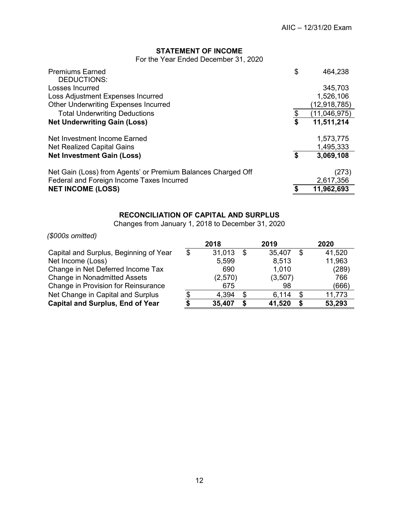## **STATEMENT OF INCOME**

For the Year Ended December 31, 2020

<span id="page-15-0"></span>

| <b>Premiums Earned</b><br>DEDUCTIONS:                        | \$<br>464,238      |
|--------------------------------------------------------------|--------------------|
| Losses Incurred                                              | 345,703            |
| Loss Adjustment Expenses Incurred                            | 1,526,106          |
| <b>Other Underwriting Expenses Incurred</b>                  | (12, 918, 785)     |
| <b>Total Underwriting Deductions</b>                         | \$<br>(11,046,975) |
| <b>Net Underwriting Gain (Loss)</b>                          | \$<br>11,511,214   |
| Net Investment Income Earned                                 | 1,573,775          |
| <b>Net Realized Capital Gains</b>                            | 1,495,333          |
| <b>Net Investment Gain (Loss)</b>                            | \$<br>3,069,108    |
| Net Gain (Loss) from Agents' or Premium Balances Charged Off | (273)              |
| Federal and Foreign Income Taxes Incurred                    | 2,617,356          |
| <b>NET INCOME (LOSS)</b>                                     | 11,962,693         |

# **RECONCILIATION OF CAPITAL AND SURPLUS**

Changes from January 1, 2018 to December 31, 2020

<span id="page-15-1"></span>*(\$000s omitted)*

|                                         | 2018         |    | 2019    |    | 2020   |
|-----------------------------------------|--------------|----|---------|----|--------|
| Capital and Surplus, Beginning of Year  | \$<br>31,013 | \$ | 35,407  | S  | 41,520 |
| Net Income (Loss)                       | 5,599        |    | 8,513   |    | 11,963 |
| Change in Net Deferred Income Tax       | 690          |    | 1,010   |    | (289)  |
| <b>Change in Nonadmitted Assets</b>     | (2,570)      |    | (3,507) |    | 766    |
| Change in Provision for Reinsurance     | 675          |    | 98      |    | (666)  |
| Net Change in Capital and Surplus       | 4,394        | \$ | 6,114   | £. | 11,773 |
| <b>Capital and Surplus, End of Year</b> | 35,407       | S  | 41,520  |    | 53,293 |
|                                         |              |    |         |    |        |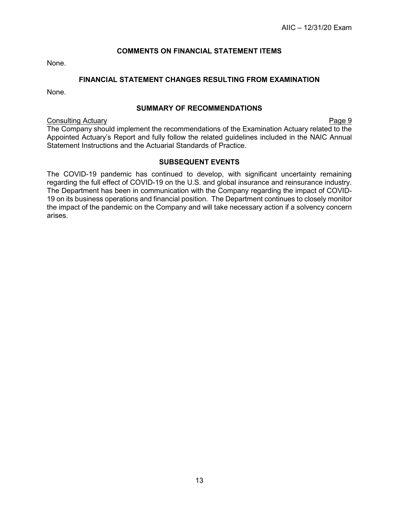#### **COMMENTS ON FINANCIAL STATEMENT ITEMS**

<span id="page-16-0"></span>None.

#### **FINANCIAL STATEMENT CHANGES RESULTING FROM EXAMINATION**

<span id="page-16-1"></span>None.

#### **SUMMARY OF RECOMMENDATIONS**

<span id="page-16-2"></span>**Consulting Actuary Consulting Actuary Page 9** 

The Company should implement the recommendations of the Examination Actuary related to the Appointed Actuary's Report and fully follow the related guidelines included in the NAIC Annual Statement Instructions and the Actuarial Standards of Practice.

#### **SUBSEQUENT EVENTS**

<span id="page-16-3"></span>The COVID-19 pandemic has continued to develop, with significant uncertainty remaining regarding the full effect of COVID-19 on the U.S. and global insurance and reinsurance industry. The Department has been in communication with the Company regarding the impact of COVID-19 on its business operations and financial position. The Department continues to closely monitor the impact of the pandemic on the Company and will take necessary action if a solvency concern arises.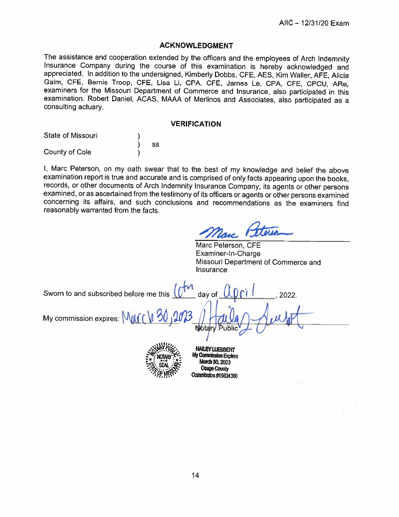#### **ACKNOWLEDGMENT**

The assistance and cooperation extended by the officers and the employees of Arch Indemnity Insurance Company during the course of this examination is hereby acknowledged and appreciated. In addition to the undersigned, Kimberly Dobbs, CFE, AES, Kim Waller, AFE, Alicia Galm, CFE, Bernie Troop, CFE, Lisa Li, CPA, CFE, James Le, CPA, CFE, CPCU, ARe, examiners for the Missouri Department of Commerce and Insurance, also participated in this examination. Robert Daniel, ACAS, MAAA of Merlinos and Associates, also participated as a consulting actuary.

#### **VERIFICATION**

| <b>State of Missouri</b> |    |
|--------------------------|----|
|                          | SS |
| County of Cole           |    |

I, Marc Peterson, on my oath swear that to the best of my knowledge and belief the above examination report is true and accurate and is comprised of only facts appearing upon the books, records, or other documents of Arch Indemnity Insurance Company, its agents or other persons examined, or as ascertained from the testimony of its officers or agents or other persons examined concerning its affairs, and such conclusions and recommendations as the examiners find reasonably warranted from the facts.

Marc Peterson, CFE Examiner-In-Charge Missouri Department of Commerce and Insurance

Sworn to and subscribed before me this  $\int \mathcal{O}^{\uparrow n}$ day of 2022. My commission expires: MM **Notan** 



**HAILEY LUEBBERT** My Commission Expires **larch 30, 2023 Osage County Commission #15634366**